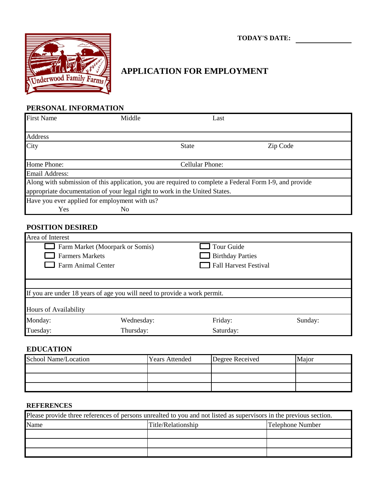lerwood Family Farms €

# **TODAY'S DATE:**

## **APPLICATION FOR EMPLOYMENT**

#### **PERSONAL INFORMATION**

| <b>First Name</b>                                                           | Middle | Last                   |                                                                                                         |
|-----------------------------------------------------------------------------|--------|------------------------|---------------------------------------------------------------------------------------------------------|
|                                                                             |        |                        |                                                                                                         |
| <b>Address</b>                                                              |        |                        |                                                                                                         |
| City                                                                        |        | <b>State</b>           | Zip Code                                                                                                |
|                                                                             |        |                        |                                                                                                         |
| Home Phone:                                                                 |        | <b>Cellular Phone:</b> |                                                                                                         |
| <b>Email Address:</b>                                                       |        |                        |                                                                                                         |
|                                                                             |        |                        | Along with submission of this application, you are required to complete a Federal Form I-9, and provide |
| appropriate documentation of your legal right to work in the United States. |        |                        |                                                                                                         |
| Have you ever applied for employment with us?                               |        |                        |                                                                                                         |
| Yes                                                                         | No     |                        |                                                                                                         |

#### **POSITION DESIRED**

| Area of Interest                                          |                                                                          |                         |         |  |
|-----------------------------------------------------------|--------------------------------------------------------------------------|-------------------------|---------|--|
| Tour Guide<br>Farm Market (Moorpark or Somis)             |                                                                          |                         |         |  |
| <b>Farmers Markets</b>                                    |                                                                          | <b>Birthday Parties</b> |         |  |
| <b>Fall Harvest Festival</b><br><b>Farm Animal Center</b> |                                                                          |                         |         |  |
|                                                           |                                                                          |                         |         |  |
|                                                           |                                                                          |                         |         |  |
|                                                           | If you are under 18 years of age you will need to provide a work permit. |                         |         |  |
|                                                           |                                                                          |                         |         |  |
| Hours of Availability                                     |                                                                          |                         |         |  |
| Monday:                                                   | Wednesday:                                                               | Friday:                 | Sunday: |  |
| Tuesday:                                                  | Thursday:                                                                | Saturday:               |         |  |

## **EDUCATION**

| School Name/Location | <b>Years Attended</b> | Degree Received | <b>Maior</b> |
|----------------------|-----------------------|-----------------|--------------|
|                      |                       |                 |              |
|                      |                       |                 |              |
|                      |                       |                 |              |

#### **REFERENCES**

| Please provide three references of persons unrealted to you and not listed as supervisors in the previous section. |                                        |  |  |
|--------------------------------------------------------------------------------------------------------------------|----------------------------------------|--|--|
| Name                                                                                                               | Telephone Number<br>Title/Relationship |  |  |
|                                                                                                                    |                                        |  |  |
|                                                                                                                    |                                        |  |  |
|                                                                                                                    |                                        |  |  |